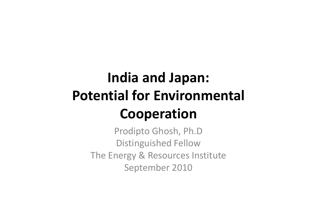# India and Japan:Potential for Environmental Cooperation

 Prodipto Ghosh, Ph.D Distinguished Fellow The Energy & Resources InstituteSeptember 2010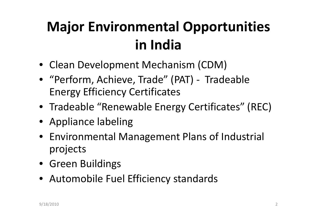# Major Environmental Opportunities in India

- Clean Development Mechanism (CDM)
- "Perform, Achieve, Trade" (PAT) Tradeable Energy Efficiency Certificates
- Tradeable "Renewable Energy Certificates" (REC)
- Appliance labeling
- Environmental Management Plans of Industrial projects
- Green Buildings
- Automobile Fuel Efficiency standards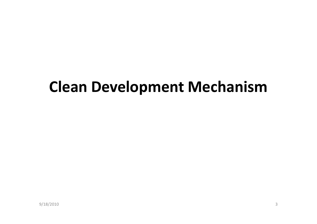# Clean Development Mechanism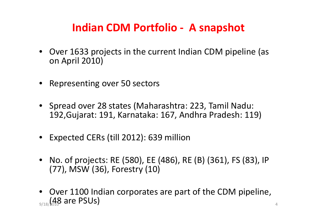#### Indian CDM Portfolio - A snapshot

- Over 1633 projects in the current Indian CDM pipeline (as on April 2010)
- Representing over 50 sectors
- Spread over 28 states (Maharashtra: 223, Tamil Nadu: 192,Gujarat: 191, Karnataka: 167, Andhra Pradesh: 119)
- Expected CERs (till 2012): 639 million
- No. of projects: RE (580), EE (486), RE (B) (361), FS (83), IP (77), MSW (36), Forestry (10)
- Over 1100 Indian corporates are part of the CDM pipeline,  $_{\rm 9/18/101}$ (48 are PSUs)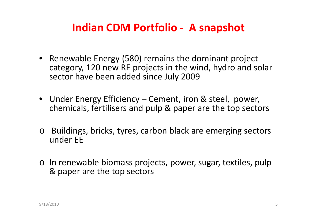#### Indian CDM Portfolio - A snapshot

- Renewable Energy (580) remains the dominant project category, 120 new RE projects in the wind, hydro and solar sector have been added since July 2009
- Under Energy Efficiency Cement, iron & steel, power, chemicals, fertilisers and pulp & paper are the top sectors
- o Buildings, bricks, tyres, carbon black are emerging sectors under EE
- o In renewable biomass projects, power, sugar, textiles, pulp & paper are the top sectors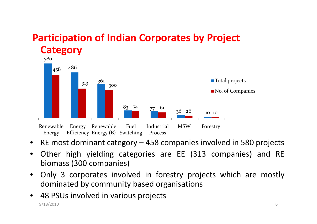#### Participation of Indian Corporates by Project **Category**



- RE most dominant category <sup>458</sup> companies involved in <sup>580</sup> projects
- • Other high yielding categories are EE (313 companies) and RE biomass (300 companies)
- • Only <sup>3</sup> corporates involved in forestry projects which are mostly dominated by community based organisations
- • <sup>48</sup> PSUs involved in various projects 9/18/2010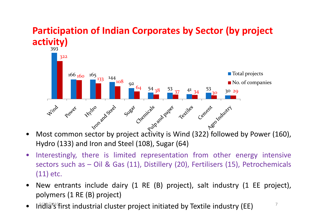

# Participation of Indian Corporates by Sector (by project

- • Most common sector by project activity is Wind (322) followed by Power (160), Hydro (133) and Iron and Steel (108), Sugar (64)
- $\bullet$  Interestingly, there is limited representation from other energy intensive sectors such as – Oil & Gas (11), Distillery (20), Fertilisers (15), Petrochemicals (11) etc.
- • New entrants include dairy (1 RE (B) project), salt industry (1 EE project), polymers (1 RE (B) project)
- •India's first industrial cluster project initiated by Textile industry (EE)  $\frac{1}{2}$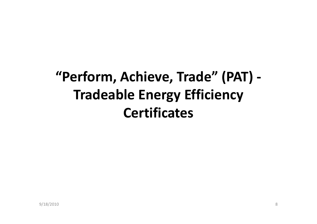# "Perform, Achieve, Trade" (PAT) -Tradeable Energy Efficiency **Certificates**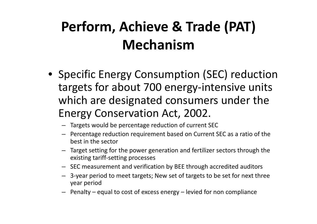# Perform, Achieve & Trade (PAT) Mechanism

- Specific Energy Consumption (SEC) reduction targets for about 700 energy-intensive units which are designated consumers under the Energy Conservation Act, 2002.
	- Targets would be percentage reduction of current SE C
	- Percentage reduction requirement based on Current SEC as a ratio of the best in the sector
	- Target setting for the power generation and fertilizer sectors through the existing tariff-setting processes
	- SEC measurement and verification by BEE through accredited auditors
	- 3-year period to meet targets; New set of targets to be set for next three year period
	- Penalty equal to cost of excess energy levied for non compliance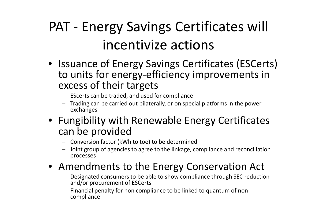# PAT - Energy Savings Certificates will incentivize actions

- Issuance of Energy Savings Certificates (ESCerts) to units for energy-efficiency improvements in excess of their targets
	- EScerts can be traded, and used for compliance
	- Trading can be carried out bilaterally, or on special platforms in the power exchanges
- Fungibility with Renewable Energy Certificates can be provided
	- Conversion factor (kWh to toe) to be determined
	- – Joint group of agencies to agree to the linkage, compliance and reconciliation processes
- Amendments to the Energy Conservation Act
	- Designated consumers to be able to show compliance through SEC reduction and/or procurement of ESCerts
	- Financial penalty for non compliance to be linked to quantum of non –compliance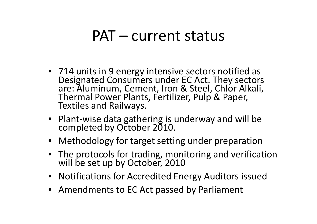## PAT – current status

- 714 units in 9 energy intensive sectors notified as Designated Consumers under EC Act. They sectors are: Aluminum, Cement, Iron & Steel, Chlor Alkali, Thermal Power Plants, Fertilizer, Pulp & Paper, Textiles and Railways.
- Plant-wise data gathering is underway and will be completed by October 2010.
- Methodology for target setting under preparation
- The protocols for trading, monitoring and verification will be set up by October, 2010
- Notifications for Accredited Energy Auditors issued
- Amendments to EC Act passed by Parliament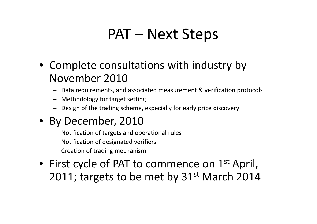# PAT – Next Steps

- Complete consultations with industry by November 2010
	- Data requirements, and associated measurement & verification protocols
	- Methodology for target setting
	- Design of the trading scheme, especially for early price discovery
- By December, 2010
	- Notification of targets and operational rules
	- –Notification of designated verifiers
	- Creation of trading mechanism
- First cycle of PAT to commence on  $1^{\text{st}}$  April, 2011; targets to be met by 31<sup>st</sup> March 2014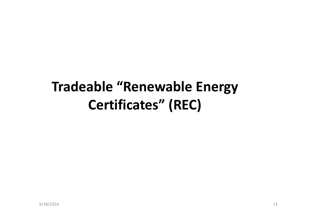# Tradeable "Renewable Energy Certificates" (REC)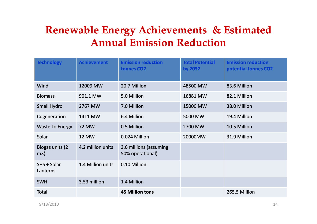#### **Renewable Energy Achievements & Estimated Annual Emission Reduction**

| <b>Technology</b>       | <b>Achievement</b> | <b>Emission reduction</b><br>tonnes CO <sub>2</sub> | <b>Total Potential</b><br>by 2032 | <b>Emission reduction</b><br>potential tonnes CO2 |
|-------------------------|--------------------|-----------------------------------------------------|-----------------------------------|---------------------------------------------------|
| Wind                    | 12009 MW           | 20.7 Million                                        | 48500 MW                          | 83.6 Million                                      |
| <b>Biomass</b>          | 901.1 MW           | 5.0 Million                                         | 16881 MW                          | 82.1 Million                                      |
| <b>Small Hydro</b>      | 2767 MW            | 7.0 Million                                         | 15000 MW                          | 38.0 Million                                      |
| Cogeneration            | 1411 MW            | 6.4 Million                                         | 5000 MW                           | 19.4 Million                                      |
| <b>Waste To Energy</b>  | <b>72 MW</b>       | 0.5 Million                                         | 2700 MW                           | 10.5 Million                                      |
| Solar                   | <b>12 MW</b>       | 0.024 Million                                       | 20000MW                           | 31.9 Million                                      |
| Biogas units (2)<br>m3) | 4.2 million units  | 3.6 millions (assuming<br>50% operational)          |                                   |                                                   |
| SHS + Solar<br>Lanterns | 1.4 Million units  | 0.10 Million                                        |                                   |                                                   |
| <b>SWH</b>              | 3.53 million       | 1.4 Million                                         |                                   |                                                   |
| <b>Total</b>            |                    | <b>45 Million tons</b>                              |                                   | 265.5 Million                                     |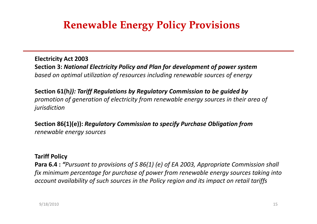#### **Renewable Energy Policy Provisions**

Electricity Act 2003 Section 3: National Electricity Policy and Plan for development of power systembased on optimal utilization of resources including renewable sources of energy

Section 61(h)): Tariff Regulations by Regulatory Commission to be guided by promotion of generation of electricity from renewable energy sources in their area ofjurisdiction

Section 86(1)(e)): Regulatory Commission to specify Purchase Obligation fromrenewable energy sources

#### Tariff Policy

Para 6.4 : "Pursuant to provisions of S 86(1) (e) of EA 2003, Appropriate Commission shall fix minimum percentage for purchase of power from renewable energy sources taking into account availability of such sources in the Policy region and its impact on retail tariffs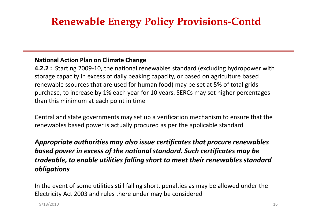### **Renewable Energy Policy Provisions Provisions-Contd**

#### National Action Plan on Climate Change

**4.2.2** : Starting 2009-10, the national renewables standard (excluding hydropower with storage capacity in excess of daily peaking capacity, or based on agriculture based renewable ssources that are used for human food) may be set at 5% of total grids purchase, to increase by 1% each year for 10 years. SERCs may set higher percentages than this minimum at each point in time

Central and state governments may set up a verification mechanism to ensure that the renewables based power is actually procured as per the applicable standard

#### Appropriate authorities may also issue certificates that procure renewables based power in excess of the national standard. Such certificates may be tradeable, to enable utilities falling short to meet their renewables standard obligations

In the event of some utilities still falling short, penalties as may be allowed under the Electricity Act 2003 and rules there under may be considered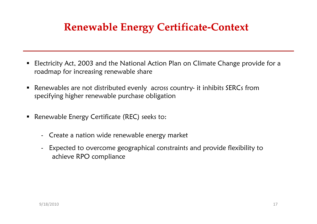### **Renewable Energy Certificate Certificate-Context Context**

- $\blacksquare$  Electricity Act, 2003 and the National Action Plan on Climate Change provide for a roadmap for increasing renewable share
- $\blacksquare$  Renewables are not distributed evenly across country- it inhibits SERCs from specifying higher renewable purchase obligation
- Renewable Energy Certificate (REC) seeks to:
	- Create a nation wide renewable energy market
	- Expected to overcome geographical constraints and provide flexibility to achieve RPO compliance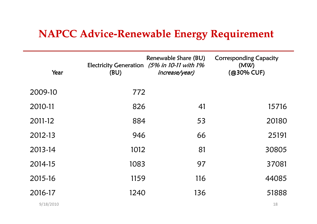#### **NAPCC Advice-Renewable Energy Requirement**

| Year    | (BU) | Renewable Share (BU)<br>Electricity Generation (5% in 10-11 with 1%<br>increase/year) | <b>Corresponding Capacity</b><br>(MW)<br>(@30% CUF) |
|---------|------|---------------------------------------------------------------------------------------|-----------------------------------------------------|
| 2009-10 | 772  |                                                                                       |                                                     |
| 2010-11 | 826  | 41                                                                                    | 15716                                               |
| 2011-12 | 884  | 53                                                                                    | 20180                                               |
| 2012-13 | 946  | 66                                                                                    | 25191                                               |
| 2013-14 | 1012 | 81                                                                                    | 30805                                               |
| 2014-15 | 1083 | 97                                                                                    | 37081                                               |
| 2015-16 | 1159 | 116                                                                                   | 44085                                               |
| 2016-17 | 1240 | 136                                                                                   | 51888                                               |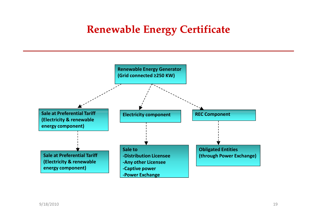#### **Renewable Energy Certificate**

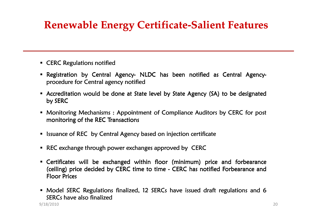### **Renewable Energy Certificate Certificate-Salient Features Salient**

- $\;\;\mathsf{CERC}$  Regulations notified
- Registration by Central Agency- NLDC has been notified as Central Agencyprocedure for Central agency notified
- Accreditation would be done at State level by State Agency (SA) to be designated<br>. . . . . . . . . by SERC
- **Monitoring Mechanisms : Appointment of Compliance Auditors by CERC for post** monitoring of the REC Transactions
- $\textcolor{red}{\bullet}$  Issuance of REC  $\,$  by Central Agency based on injection certificate
- $\textcolor{red}{\bullet}$  REC exchange through power exchanges approved by <code>CERC</code>
- $\blacksquare$  Certificates will be exchanged within floor (minimum) price and forbearance for  $\blacksquare$ (ceiling) price decided by CERC time to time - CERC has notified Forbearance and Floor Prices
- Model SERC Regulations finalized, 12 SERCs have issued draft regulations and 6  $SFRCs$  have also finalized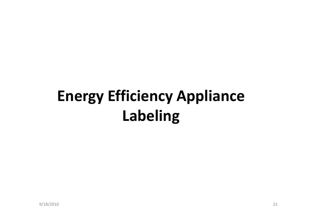# Energy Efficiency Appliance Labeling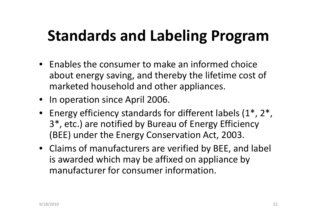# Standards and Labeling Program

- Enables the consumer to make an informed choice about energy saving, and thereby the lifetime cost of marketed household and other appliances.
- In operation since April 2006.
- Energy efficiency standards for different labels (1\*, 2\*, 3\*, etc.) are notified by Bureau of Energy Efficiency (BEE) under the Energy Conservation Act, 2003.
- Claims of manufacturers are verified by BEE, and label is awarded which may be affixed on appliance by manufacturer for consumer information.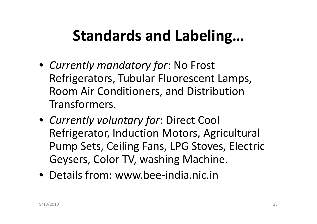# Standards and Labeling…

- Currently mandatory for: No Frost Refrigerators, Tubular Fluorescent Lamps, Room Air Conditioners, and Distribution Transformers.
- Currently voluntary for: Direct Cool Refrigerator, Induction Motors, Agricultural Pump Sets, Ceiling Fans, LPG Stoves, Electric Geysers, Color TV, washing Machine.
- Details from: www.bee-india.nic.in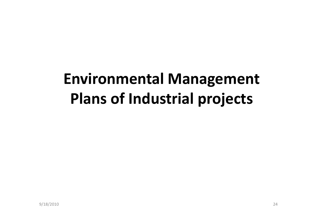# Environmental Management Plans of Industrial projects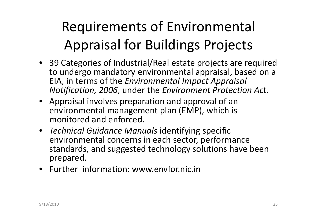# Requirements of Environmental Appraisal for Buildings Projects

- 39 Categories of Industrial/Real estate projects are required to undergo mandatory environmental appraisal, based on a EIA, in terms of the Environmental Impact Appraisal Notification, 2006, under the Environment Protection Act.
- Appraisal involves preparation and approval of an environmental management plan (EMP), which is monitored and enforced.
- Technical Guidance Manuals identifying specific environmental concerns in each sector, performance standards, and suggested technology solutions have been prepared.
- Further information: www.envfor.nic.in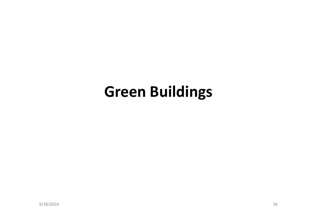# Green Buildings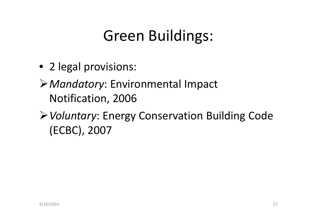# Green Buildings:

• 2 legal provisions:

> Mandatory: Environmental Impact Notification, 2006

▶ Voluntary: Energy Conservation Building Code (ECBC), 2007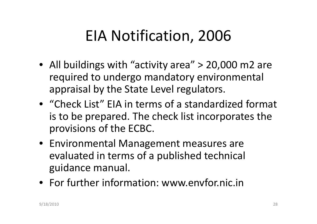# EIA Notification, 2006

- All buildings with "activity area" > 20,000 m2 are required to undergo mandatory environmental appraisal by the State Level regulators.
- "Check List" EIA in terms of a standardized format is to be prepared. The check list incorporates the provisions of the ECBC.
- Environmental Management measures are evaluated in terms of a published technical guidance manual.
- For further information: www.envfor.nic.in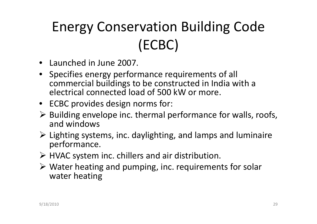# Energy Conservation Building Code (ECBC)

- Launched in June 2007.
- Specifies energy performance requirements of all commercial buildings to be constructed in India with a electrical connected load of 500 kW or more.
- ECBC provides design norms for:
- > Building envelope inc. thermal performance for walls, roofs,<br>and windows and windows
- Lighting systems, inc. daylighting, and lamps and luminaire performance.
- > HVAC system inc. chillers and air distribution.
- Water heating and pumping, inc. requirements for solar water heating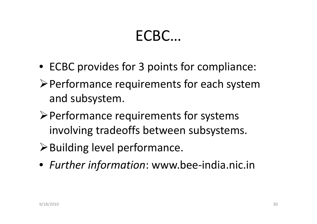# ECBC…

- ECBC provides for 3 points for compliance:
- -Performance requirements for each system and subsystem.
- -Performance requirements for systems involving tradeoffs between subsystems.
- -Building level performance.
- Further information: www.bee-india.nic.in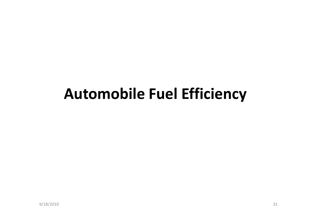## Automobile Fuel Efficiency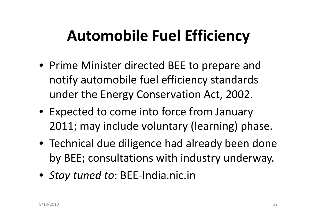# Automobile Fuel Efficiency

- Prime Minister directed BEE to prepare and notify automobile fuel efficiency standards under the Energy Conservation Act, 2002.
- Expected to come into force from January 2011; may include voluntary (learning) phase.
- Technical due diligence had already been done by BEE; consultations with industry underway.
- Stay tuned to: BEE-India.nic.in